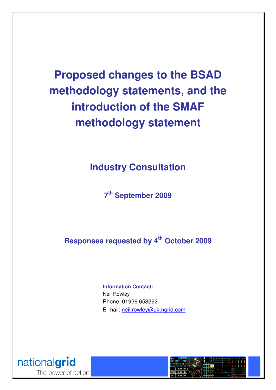# **Proposed changes to the BSAD methodology statements, and the introduction of the SMAF methodology statement**

**Industry Consultation** 

**7 th September 2009** 

**Responses requested by 4th October 2009** 

**Information Contact:**  Neil Rowley Phone: 01926 653392 E-mail: neil.rowley@uk.ngrid.com



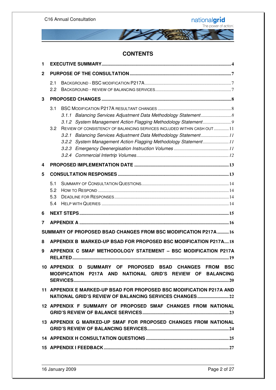

#### **CONTENTS**

| 1      |                                                                                                                                                                                                                             |
|--------|-----------------------------------------------------------------------------------------------------------------------------------------------------------------------------------------------------------------------------|
| 2      |                                                                                                                                                                                                                             |
|        | 2.1                                                                                                                                                                                                                         |
|        | 2.2                                                                                                                                                                                                                         |
| 3      |                                                                                                                                                                                                                             |
|        | 3.1<br>REVIEW OF CONSISTENCY OF BALANCING SERVICES INCLUDED WITHIN CASH OUT11<br>3.2<br>3.2.1 Balancing Services Adjustment Data Methodology Statement11<br>3.2.2 System Management Action Flagging Methodology Statement11 |
| 4      |                                                                                                                                                                                                                             |
|        |                                                                                                                                                                                                                             |
| 5      |                                                                                                                                                                                                                             |
|        | 5.1<br>5.2<br>5.3<br>5.4                                                                                                                                                                                                    |
| 6      |                                                                                                                                                                                                                             |
| 7      |                                                                                                                                                                                                                             |
|        | SUMMARY OF PROPOSED BSAD CHANGES FROM BSC MODIFICATION P217A 16                                                                                                                                                             |
|        |                                                                                                                                                                                                                             |
| 8<br>9 | APPENDIX B MARKED-UP BSAD FOR PROPOSED BSC MODIFICATION P217A18<br>APPENDIX C SMAF METHODOLOGY STATEMENT - BSC MODIFICATION P217A                                                                                           |
|        | 10 APPENDIX D SUMMARY OF PROPOSED BSAD CHANGES FROM BSC                                                                                                                                                                     |
|        | MODIFICATION P217A AND NATIONAL GRID'S REVIEW OF BALANCING                                                                                                                                                                  |
|        | 11 APPENDIX E MARKED-UP BSAD FOR PROPOSED BSC MODIFICATION P217A AND<br>NATIONAL GRID'S REVIEW OF BALANCING SERVICES CHANGES22                                                                                              |
|        | 12 APPENDIX F SUMMARY OF PROPOSED SMAF CHANGES FROM NATIONAL                                                                                                                                                                |
|        | 13 APPENDIX G MARKED-UP SMAF FOR PROPOSED CHANGES FROM NATIONAL                                                                                                                                                             |
|        |                                                                                                                                                                                                                             |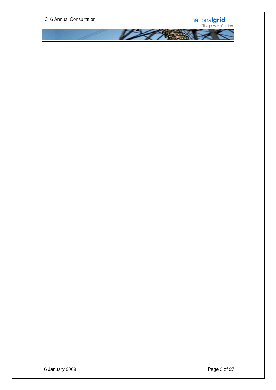



16 January 2009 **Page 3 of 27**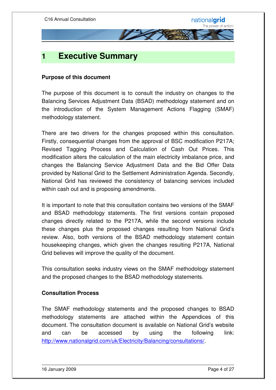

#### **Purpose of this document**

The purpose of this document is to consult the industry on changes to the Balancing Services Adjustment Data (BSAD) methodology statement and on the introduction of the System Management Actions Flagging (SMAF) methodology statement.

There are two drivers for the changes proposed within this consultation. Firstly, consequential changes from the approval of BSC modification P217A; Revised Tagging Process and Calculation of Cash Out Prices. This modification alters the calculation of the main electricity imbalance price, and changes the Balancing Service Adjustment Data and the Bid Offer Data provided by National Grid to the Settlement Administration Agenda. Secondly, National Grid has reviewed the consistency of balancing services included within cash out and is proposing amendments.

It is important to note that this consultation contains two versions of the SMAF and BSAD methodology statements. The first versions contain proposed changes directly related to the P217A, while the second versions include these changes plus the proposed changes resulting from National Grid's review. Also, both versions of the BSAD methodology statement contain housekeeping changes, which given the changes resulting P217A, National Grid believes will improve the quality of the document.

This consultation seeks industry views on the SMAF methodology statement and the proposed changes to the BSAD methodology statements.

#### **Consultation Process**

The SMAF methodology statements and the proposed changes to BSAD methodology statements are attached within the Appendices of this document. The consultation document is available on National Grid's website and can be accessed by using the following link: http://www.nationalgrid.com/uk/Electricity/Balancing/consultations/.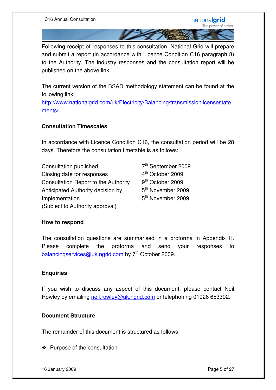Following receipt of responses to this consultation, National Grid will prepare and submit a report (in accordance with Licence Condition C16 paragraph 8) to the Authority. The industry responses and the consultation report will be published on the above link.

The current version of the BSAD methodology statement can be found at the following link:

http://www.nationalgrid.com/uk/Electricity/Balancing/transmissionlicensestate ments/

#### **Consultation Timescales**

In accordance with Licence Condition C16, the consultation period will be 28 days. Therefore the consultation timetable is as follows:

| <b>Consultation published</b>               | 7 <sup>th</sup> September 2009 |
|---------------------------------------------|--------------------------------|
| Closing date for responses                  | 4 <sup>th</sup> October 2009   |
| <b>Consultation Report to the Authority</b> | 9 <sup>th</sup> October 2009   |
| Anticipated Authority decision by           | 5 <sup>th</sup> November 2009  |
| Implementation                              | 5 <sup>th</sup> November 2009  |
| (Subject to Authority approval)             |                                |

#### **How to respond**

The consultation questions are summarised in a proforma in Appendix H. Please complete the proforma and send your responses to balancingservices@uk.ngrid.com by 7<sup>th</sup> October 2009.

#### **Enquiries**

If you wish to discuss any aspect of this document, please contact Neil Rowley by emailing neil.rowley@uk.ngrid.com or telephoning 01926 653392.

#### **Document Structure**

The remainder of this document is structured as follows:

❖ Purpose of the consultation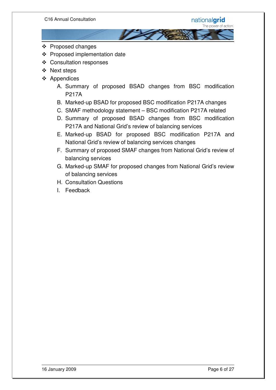- ❖ Proposed changes
- Proposed implementation date
- Consultation responses
- ❖ Next steps
- ❖ Appendices
	- A. Summary of proposed BSAD changes from BSC modification P217A
	- B. Marked-up BSAD for proposed BSC modification P217A changes
	- C. SMAF methodology statement BSC modification P217A related
	- D. Summary of proposed BSAD changes from BSC modification P217A and National Grid's review of balancing services
	- E. Marked-up BSAD for proposed BSC modification P217A and National Grid's review of balancing services changes
	- F. Summary of proposed SMAF changes from National Grid's review of balancing services
	- G. Marked-up SMAF for proposed changes from National Grid's review of balancing services
	- H. Consultation Questions
	- I. Feedback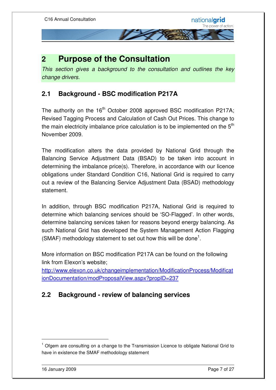## **2 Purpose of the Consultation**

This section gives a background to the consultation and outlines the key change drivers.

## **2.1 Background - BSC modification P217A**

The authority on the  $16<sup>th</sup>$  October 2008 approved BSC modification P217A; Revised Tagging Process and Calculation of Cash Out Prices. This change to the main electricity imbalance price calculation is to be implemented on the  $5<sup>th</sup>$ November 2009.

The modification alters the data provided by National Grid through the Balancing Service Adjustment Data (BSAD) to be taken into account in determining the imbalance price(s). Therefore, in accordance with our licence obligations under Standard Condition C16, National Grid is required to carry out a review of the Balancing Service Adjustment Data (BSAD) methodology statement.

In addition, through BSC modification P217A, National Grid is required to determine which balancing services should be 'SO-Flagged'. In other words, determine balancing services taken for reasons beyond energy balancing. As such National Grid has developed the System Management Action Flagging (SMAF) methodology statement to set out how this will be done<sup>1</sup>.

More information on BSC modification P217A can be found on the following link from Elexon's website;

http://www.elexon.co.uk/changeimplementation/ModificationProcess/Modificat ionDocumentation/modProposalView.aspx?propID=237

### **2.2 Background - review of balancing services**

<u>.</u>

<sup>&</sup>lt;sup>1</sup> Ofgem are consulting on a change to the Transmission Licence to obligate National Grid to have in existence the SMAF methodology statement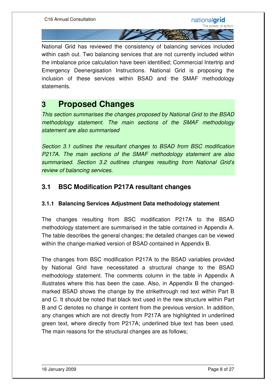National Grid has reviewed the consistency of balancing services included within cash out. Two balancing services that are not currently included within the imbalance price calculation have been identified; Commercial Intertrip and Emergency Deenergisation Instructions. National Grid is proposing the inclusion of these services within BSAD and the SMAF methodology statements.

## **3 Proposed Changes**

This section summarises the changes proposed by National Grid to the BSAD methodology statement. The main sections of the SMAF methodology statement are also summarised

Section 3.1 outlines the resultant changes to BSAD from BSC modification P217A. The main sections of the SMAF methodology statement are also summarised. Section 3.2 outlines changes resulting from National Grid's review of balancing services.

## **3.1 BSC Modification P217A resultant changes**

#### **3.1.1 Balancing Services Adjustment Data methodology statement**

The changes resulting from BSC modification P217A to the BSAD methodology statement are summarised in the table contained in Appendix A. The table describes the general changes; the detailed changes can be viewed within the change-marked version of BSAD contained in Appendix B.

The changes from BSC modification P217A to the BSAD variables provided by National Grid have necessitated a structural change to the BSAD methodology statement. The comments column in the table in Appendix A illustrates where this has been the case. Also, in Appendix B the changedmarked BSAD shows the change by the strikethrough red text within Part B and C. It should be noted that black text used in the new structure within Part B and C denotes no change in content from the previous version. In addition, any changes which are not directly from P217A are highlighted in underlined green text, where directly from P217A; underlined blue text has been used. The main reasons for the structural changes are as follows;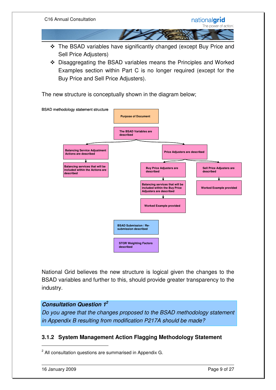

National Grid believes the new structure is logical given the changes to the BSAD variables and further to this, should provide greater transparency to the industry.

#### **Consultation Question 1<sup>2</sup>**

Do you agree that the changes proposed to the BSAD methodology statement in Appendix B resulting from modification P217A should be made?

#### **3.1.2 System Management Action Flagging Methodology Statement**

<u>.</u>

<sup>&</sup>lt;sup>2</sup> All consultation questions are summarised in Appendix G.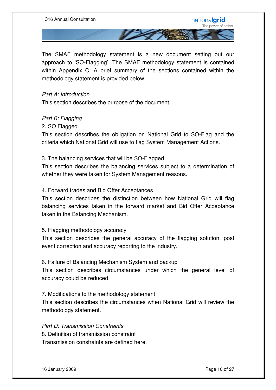

The SMAF methodology statement is a new document setting out our approach to 'SO-Flagging'. The SMAF methodology statement is contained within Appendix C. A brief summary of the sections contained within the methodology statement is provided below.

#### Part A: Introduction

This section describes the purpose of the document.

#### Part B: Flagging

2. SO Flagged

This section describes the obligation on National Grid to SO-Flag and the criteria which National Grid will use to flag System Management Actions.

#### 3. The balancing services that will be SO-Flagged

This section describes the balancing services subject to a determination of whether they were taken for System Management reasons.

#### 4. Forward trades and Bid Offer Acceptances

This section describes the distinction between how National Grid will flag balancing services taken in the forward market and Bid Offer Acceptance taken in the Balancing Mechanism.

#### 5. Flagging methodology accuracy

This section describes the general accuracy of the flagging solution, post event correction and accuracy reporting to the industry.

#### 6. Failure of Balancing Mechanism System and backup

This section describes circumstances under which the general level of accuracy could be reduced.

#### 7. Modifications to the methodology statement

This section describes the circumstances when National Grid will review the methodology statement.

#### Part D: Transmission Constraints

8. Definition of transmission constraint Transmission constraints are defined here.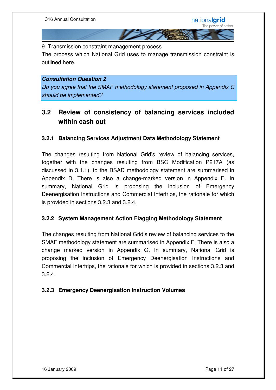9. Transmission constraint management process

The process which National Grid uses to manage transmission constraint is outlined here.

#### **Consultation Question 2**

Do you agree that the SMAF methodology statement proposed in Appendix C should be implemented?

## **3.2 Review of consistency of balancing services included within cash out**

#### **3.2.1 Balancing Services Adjustment Data Methodology Statement**

The changes resulting from National Grid's review of balancing services, together with the changes resulting from BSC Modification P217A (as discussed in 3.1.1), to the BSAD methodology statement are summarised in Appendix D. There is also a change-marked version in Appendix E. In summary, National Grid is proposing the inclusion of Emergency Deenergisation Instructions and Commercial Intertrips, the rationale for which is provided in sections 3.2.3 and 3.2.4.

#### **3.2.2 System Management Action Flagging Methodology Statement**

The changes resulting from National Grid's review of balancing services to the SMAF methodology statement are summarised in Appendix F. There is also a change marked version in Appendix G. In summary, National Grid is proposing the inclusion of Emergency Deenergisation Instructions and Commercial Intertrips, the rationale for which is provided in sections 3.2.3 and 3.2.4.

#### **3.2.3 Emergency Deenergisation Instruction Volumes**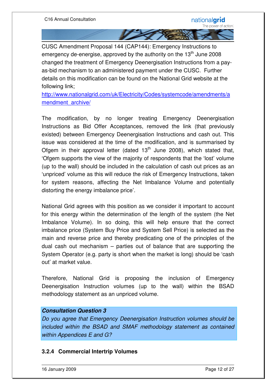CUSC Amendment Proposal 144 (CAP144): Emergency Instructions to emergency de-energise, approved by the authority on the  $13<sup>th</sup>$  June 2008 changed the treatment of Emergency Deenergisation Instructions from a payas-bid mechanism to an administered payment under the CUSC. Further details on this modification can be found on the National Grid website at the following link;

http://www.nationalgrid.com/uk/Electricity/Codes/systemcode/amendments/a mendment\_archive/

The modification, by no longer treating Emergency Deenergisation Instructions as Bid Offer Acceptances, removed the link (that previously existed) between Emergency Deenergisation Instructions and cash out. This issue was considered at the time of the modification, and is summarised by Ofgem in their approval letter (dated  $13<sup>th</sup>$  June 2008), which stated that, 'Ofgem supports the view of the majority of respondents that the 'lost' volume (up to the wall) should be included in the calculation of cash out prices as an 'unpriced' volume as this will reduce the risk of Emergency Instructions, taken for system reasons, affecting the Net Imbalance Volume and potentially distorting the energy imbalance price'.

National Grid agrees with this position as we consider it important to account for this energy within the determination of the length of the system (the Net Imbalance Volume). In so doing, this will help ensure that the correct imbalance price (System Buy Price and System Sell Price) is selected as the main and reverse price and thereby predicating one of the principles of the dual cash out mechanism – parties out of balance that are supporting the System Operator (e.g. party is short when the market is long) should be 'cash out' at market value.

Therefore, National Grid is proposing the inclusion of Emergency Deenergisation Instruction volumes (up to the wall) within the BSAD methodology statement as an unpriced volume.

#### **Consultation Question 3**

Do you agree that Emergency Deenergisation Instruction volumes should be included within the BSAD and SMAF methodology statement as contained within Appendices E and G?

#### **3.2.4 Commercial Intertrip Volumes**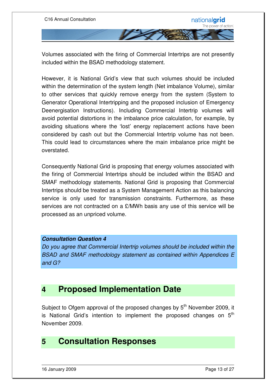

Volumes associated with the firing of Commercial Intertrips are not presently included within the BSAD methodology statement.

However, it is National Grid's view that such volumes should be included within the determination of the system length (Net imbalance Volume), similar to other services that quickly remove energy from the system (System to Generator Operational Intertripping and the proposed inclusion of Emergency Deenergisation Instructions). Including Commercial Intertrip volumes will avoid potential distortions in the imbalance price calculation, for example, by avoiding situations where the 'lost' energy replacement actions have been considered by cash out but the Commercial Intertrip volume has not been. This could lead to circumstances where the main imbalance price might be overstated.

Consequently National Grid is proposing that energy volumes associated with the firing of Commercial Intertrips should be included within the BSAD and SMAF methodology statements. National Grid is proposing that Commercial Intertrips should be treated as a System Management Action as this balancing service is only used for transmission constraints. Furthermore, as these services are not contracted on a £/MWh basis any use of this service will be processed as an unpriced volume.

#### **Consultation Question 4**

Do you agree that Commercial Intertrip volumes should be included within the BSAD and SMAF methodology statement as contained within Appendices E and G?

## **4 Proposed Implementation Date**

Subject to Ofgem approval of the proposed changes by 5<sup>th</sup> November 2009, it is National Grid's intention to implement the proposed changes on  $5<sup>th</sup>$ November 2009.

## **5 Consultation Responses**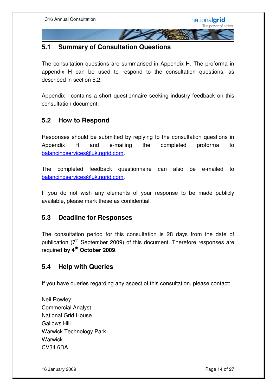## **5.1 Summary of Consultation Questions**

The consultation questions are summarised in Appendix H. The proforma in appendix H can be used to respond to the consultation questions, as described in section 5.2.

Appendix I contains a short questionnaire seeking industry feedback on this consultation document.

## **5.2 How to Respond**

Responses should be submitted by replying to the consultation questions in Appendix H and e-mailing the completed proforma to balancingservices@uk.ngrid.com.

The completed feedback questionnaire can also be e-mailed to balancingservices@uk.ngrid.com.

If you do not wish any elements of your response to be made publicly available, please mark these as confidential.

### **5.3 Deadline for Responses**

The consultation period for this consultation is 28 days from the date of publication (7<sup>th</sup> September 2009) of this document. Therefore responses are required **by 4th October 2009**.

### **5.4 Help with Queries**

If you have queries regarding any aspect of this consultation, please contact:

Neil Rowley Commercial Analyst National Grid House Gallows Hill Warwick Technology Park **Warwick** CV34 6DA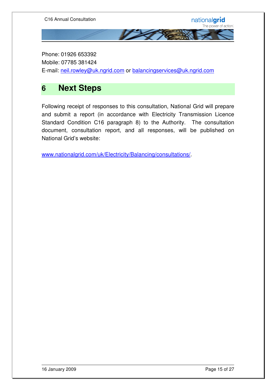Phone: 01926 653392 Mobile: 07785 381424 E-mail: neil.rowley@uk.ngrid.com or balancingservices@uk.ngrid.com

## **6 Next Steps**

Following receipt of responses to this consultation, National Grid will prepare and submit a report (in accordance with Electricity Transmission Licence Standard Condition C16 paragraph 8) to the Authority. The consultation document, consultation report, and all responses, will be published on National Grid's website:

www.nationalgrid.com/uk/Electricity/Balancing/consultations/.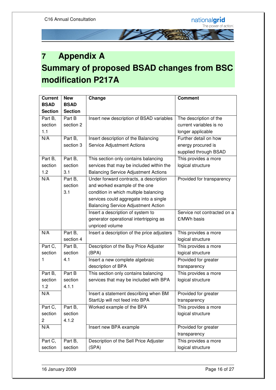

| <b>Current</b> | <b>New</b>     | Change                                      | <b>Comment</b>              |
|----------------|----------------|---------------------------------------------|-----------------------------|
| <b>BSAD</b>    | <b>BSAD</b>    |                                             |                             |
| <b>Section</b> | <b>Section</b> |                                             |                             |
| Part B,        | Part B         | Insert new description of BSAD variables    | The description of the      |
| section        | section 2      |                                             | current variables is no     |
| 1.1            |                |                                             | longer applicable           |
| N/A            | Part B,        | Insert description of the Balancing         | Further detail on how       |
|                | section 3      | <b>Service Adjustment Actions</b>           | energy procured is          |
|                |                |                                             | supplied through BSAD       |
| Part B,        | Part B,        | This section only contains balancing        | This provides a more        |
| section        | section        | services that may be included within the    | logical structure           |
| 1.2            | 3.1            | <b>Balancing Service Adjustment Actions</b> |                             |
| N/A            | Part B,        | Under forward contracts, a description      | Provided for transparency   |
|                | section        | and worked example of the one               |                             |
|                | 3.1            | condition in which multiple balancing       |                             |
|                |                | services could aggregate into a single      |                             |
|                |                | <b>Balancing Service Adjustment Action</b>  |                             |
|                |                | Insert a description of system to           | Service not contracted on a |
|                |                | generator operational intertripping as      | £/MWh basis                 |
|                |                | unpriced volume                             |                             |
| N/A            | Part B,        | Insert a description of the price adjusters | This provides a more        |
|                | section 4      |                                             | logical structure           |
| Part C,        | Part B,        | Description of the Buy Price Adjuster       | This provides a more        |
| section        | section        | (BPA)                                       | logical structure           |
| 1              | 4.1            | Insert a new complete algebraic             | Provided for greater        |
|                |                | description of BPA                          | transparency                |
| Part B,        | Part B         | This section only contains balancing        | This provides a more        |
| section        | section        | services that may be included with BPA      | logical structure           |
| 1.2            | 4.1.1          |                                             |                             |
| N/A            |                | Insert a statement describing when BM       | Provided for greater        |
|                |                | StartUp will not feed into BPA              | transparency                |
| Part C,        | Part B,        | Worked example of the BPA                   | This provides a more        |
| section        | section        |                                             | logical structure           |
| $\overline{2}$ | 4.1.2          |                                             |                             |
| N/A            |                | Insert new BPA example                      | Provided for greater        |
|                |                |                                             | transparency                |
| Part C,        | Part B,        | Description of the Sell Price Adjuster      | This provides a more        |
| section        | section        | (SPA)                                       | logical structure           |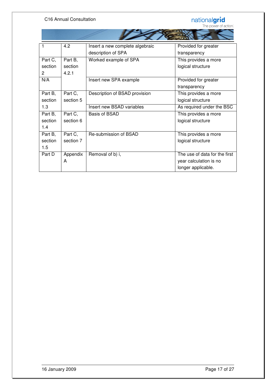# nationalgrid<br>The power of action:

в

|         | 4.2       | Insert a new complete algebraic | Provided for greater          |
|---------|-----------|---------------------------------|-------------------------------|
|         |           | description of SPA              | transparency                  |
| Part C, | Part B,   | Worked example of SPA           | This provides a more          |
| section | section   |                                 | logical structure             |
| 2       | 4.2.1     |                                 |                               |
| N/A     |           | Insert new SPA example          | Provided for greater          |
|         |           |                                 | transparency                  |
| Part B, | Part C,   | Description of BSAD provision   | This provides a more          |
| section | section 5 |                                 | logical structure             |
| 1.3     |           | Insert new BSAD variables       | As required under the BSC     |
| Part B, | Part C,   | Basis of BSAD                   | This provides a more          |
| section | section 6 |                                 | logical structure             |
| 1.4     |           |                                 |                               |
| Part B, | Part C,   | Re-submission of BSAD           | This provides a more          |
| section | section 7 |                                 | logical structure             |
| 1.5     |           |                                 |                               |
| Part D  | Appendix  | Removal of b) i,                | The use of data for the first |
|         | A         |                                 | year calculation is no        |
|         |           |                                 | longer applicable.            |

**TYPE SERVICE STATE**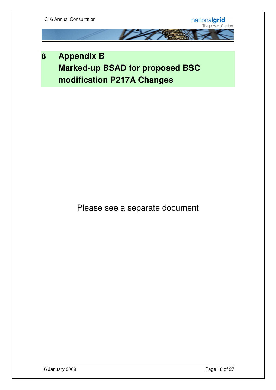nationalgrid<br>The power of action:

**8 Appendix B Marked-up BSAD for proposed BSC modification P217A Changes** 

Please see a separate document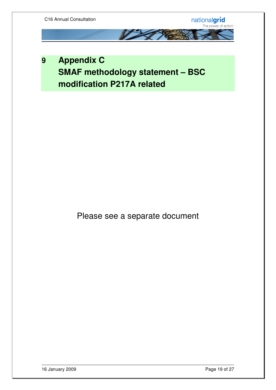nationalgrid<br>The power of action:

**9 Appendix C SMAF methodology statement – BSC modification P217A related** 

Please see a separate document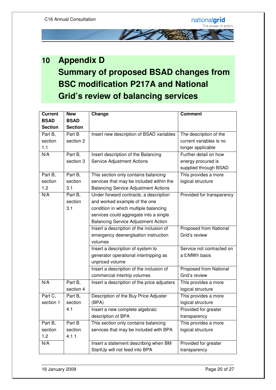

## **10 Appendix D Summary of proposed BSAD changes from BSC modification P217A and National Grid's review of balancing services**

| <b>Current</b> | <b>New</b>                             | Change                                      | <b>Comment</b>            |  |  |  |
|----------------|----------------------------------------|---------------------------------------------|---------------------------|--|--|--|
| <b>BSAD</b>    | <b>BSAD</b>                            |                                             |                           |  |  |  |
| <b>Section</b> | <b>Section</b>                         |                                             |                           |  |  |  |
| Part B,        | Part B                                 | Insert new description of BSAD variables    | The description of the    |  |  |  |
| section        | section 2                              |                                             | current variables is no   |  |  |  |
| 1.1            |                                        |                                             | longer applicable         |  |  |  |
| N/A            | Part B,                                | Insert description of the Balancing         | Further detail on how     |  |  |  |
|                | section 3                              | <b>Service Adjustment Actions</b>           | energy procured is        |  |  |  |
|                |                                        |                                             | supplied through BSAD     |  |  |  |
| Part B,        | Part B,                                | This section only contains balancing        | This provides a more      |  |  |  |
| section        | section                                | services that may be included within the    | logical structure         |  |  |  |
| 1.2            | 3.1                                    | <b>Balancing Service Adjustment Actions</b> |                           |  |  |  |
| N/A            | Part B,                                | Under forward contracts, a description      | Provided for transparency |  |  |  |
|                | section                                | and worked example of the one               |                           |  |  |  |
|                | 3.1                                    | condition in which multiple balancing       |                           |  |  |  |
|                |                                        | services could aggregate into a single      |                           |  |  |  |
|                |                                        | <b>Balancing Service Adjustment Action</b>  |                           |  |  |  |
|                |                                        | Insert a description of the inclusion of    | Proposed from National    |  |  |  |
|                |                                        | emergency deenergisation instruction        | Grid's review             |  |  |  |
|                |                                        | volumes                                     |                           |  |  |  |
|                |                                        | Insert a description of system to           | Service not contracted on |  |  |  |
|                |                                        | generator operational intertripping as      | a £/MWh basis             |  |  |  |
|                |                                        | unpriced volume                             |                           |  |  |  |
|                |                                        | Insert a description of the inclusion of    | Proposed from National    |  |  |  |
|                |                                        | commercial intertrip volumes                | Grid's review             |  |  |  |
| N/A            | Part B,                                | Insert a description of the price adjusters | This provides a more      |  |  |  |
|                | section 4                              |                                             | logical structure         |  |  |  |
| Part C,        | Part B,                                | Description of the Buy Price Adjuster       | This provides a more      |  |  |  |
| section 1      | section                                | (BPA)                                       | logical structure         |  |  |  |
|                | 4.1<br>Insert a new complete algebraic |                                             | Provided for greater      |  |  |  |
|                |                                        | description of BPA                          | transparency              |  |  |  |
| Part B,        | Part B                                 | This section only contains balancing        | This provides a more      |  |  |  |
| section        | section                                | services that may be included with BPA      | logical structure         |  |  |  |
| 1.2            | 4.1.1                                  |                                             |                           |  |  |  |
| N/A            |                                        | Insert a statement describing when BM       | Provided for greater      |  |  |  |
|                |                                        | StartUp will not feed into BPA              | transparency              |  |  |  |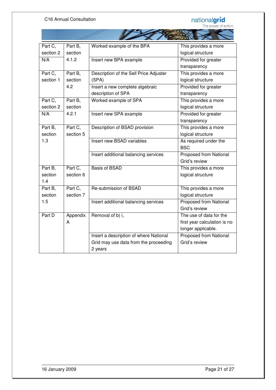# nationalgrid<br>The power of action:

÷

|                      |                    |                                        | <b>CONTRACTOR</b>             |
|----------------------|--------------------|----------------------------------------|-------------------------------|
| Part C,<br>section 2 | Part B,<br>section | Worked example of the BPA              | This provides a more          |
|                      |                    |                                        | logical structure             |
| N/A                  | 4.1.2              | Insert new BPA example                 | Provided for greater          |
|                      |                    |                                        | transparency                  |
| Part C,              | Part B,            | Description of the Sell Price Adjuster | This provides a more          |
| section 1            | section            | (SPA)                                  | logical structure             |
|                      | 4.2                | Insert a new complete algebraic        | Provided for greater          |
|                      |                    | description of SPA                     | transparency                  |
| Part C,              | Part B,            | Worked example of SPA                  | This provides a more          |
| section 2            | section            |                                        | logical structure             |
| N/A                  | 4.2.1              | Insert new SPA example                 | Provided for greater          |
|                      |                    |                                        | transparency                  |
| Part B,              | Part C,            | Description of BSAD provision          | This provides a more          |
| section              | section 5          |                                        | logical structure             |
| 1.3                  |                    | Insert new BSAD variables              | As required under the         |
|                      |                    |                                        | <b>BSC</b>                    |
|                      |                    | Insert additional balancing services   | <b>Proposed from National</b> |
|                      |                    |                                        | Grid's review                 |
| Part B,              | Part C.            | <b>Basis of BSAD</b>                   | This provides a more          |
| section              | section 6          |                                        | logical structure             |
| 1.4                  |                    |                                        |                               |
| Part B.              | Part C.            | Re-submission of BSAD                  | This provides a more          |
| section              | section 7          |                                        | logical structure             |
| 1.5                  |                    | Insert additional balancing services   | <b>Proposed from National</b> |
|                      |                    |                                        | Grid's review                 |
| Part D               | Appendix           | Removal of b) i,                       | The use of data for the       |
|                      | A                  |                                        | first year calculation is no  |
|                      |                    |                                        | longer applicable.            |
|                      |                    | Insert a description of where National | <b>Proposed from National</b> |
|                      |                    | Grid may use data from the proceeding  | Grid's review                 |
|                      |                    | 2 years                                |                               |

**The Common Street, South Office**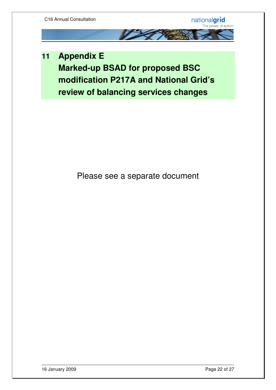nationalgrid<br>The power of action:

**11 Appendix E Marked-up BSAD for proposed BSC modification P217A and National Grid's review of balancing services changes** 

Please see a separate document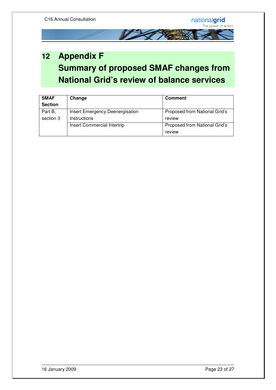

## **12 Appendix F Summary of proposed SMAF changes from National Grid's review of balance services**

| <b>SMAF</b>    | Change                          | <b>Comment</b>                |
|----------------|---------------------------------|-------------------------------|
| <b>Section</b> |                                 |                               |
| Part B,        | Insert Emergency Deenergisation | Proposed from National Grid's |
| section 3      | Instructions                    | review                        |
|                | Insert Commercial Intertrip     | Proposed from National Grid's |
|                |                                 | review                        |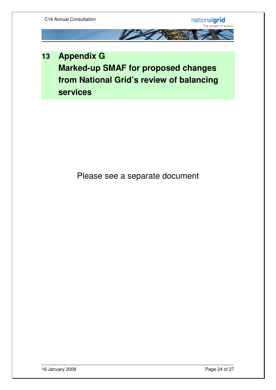nationalgrid<br>The power of action:

**13 Appendix G Marked-up SMAF for proposed changes from National Grid's review of balancing services** 

Please see a separate document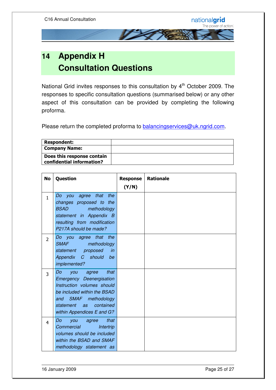

National Grid invites responses to this consultation by 4<sup>th</sup> October 2009. The responses to specific consultation questions (summarised below) or any other aspect of this consultation can be provided by completing the following proforma.

Please return the completed proforma to **balancingservices@uk.ngrid.com**.

| <b>Respondent:</b>                                      |  |
|---------------------------------------------------------|--|
| Company Name:                                           |  |
| Does this response contain<br>confidential information? |  |

| <b>No</b>      | Question                                                                                                                                                                                                      | <b>Response</b> | <b>Rationale</b> |
|----------------|---------------------------------------------------------------------------------------------------------------------------------------------------------------------------------------------------------------|-----------------|------------------|
|                |                                                                                                                                                                                                               | (Y/N)           |                  |
| $\mathbf{1}$   | Do you agree that<br>the<br>changes proposed to the<br><b>BSAD</b><br><b>Example 2018</b> methodology<br>statement in Appendix B<br>resulting from modification<br>P217A should be made?                      |                 |                  |
| $\overline{2}$ | Do you agree that the<br>SMAF methodology<br>statement proposed in<br>Appendix C should<br>be<br>implemented?                                                                                                 |                 |                  |
| 3              | Do<br>you<br>that<br>agree<br><b>Emergency Deenergisation</b><br>Instruction volumes should<br>be included within the BSAD<br>and SMAF methodology<br>contained<br>statement as<br>within Appendices E and G? |                 |                  |
| $\overline{4}$ | that<br>Do<br>you agree<br><b>Commercial</b> Commercial<br>Intertrip<br>volumes should be included<br>within the BSAD and SMAF<br>methodology statement as                                                    |                 |                  |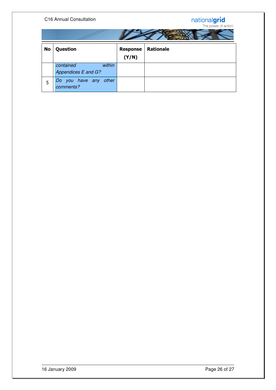# nationalgrid<br>The power of action:



| No | Question                                   | <b>Response</b><br>(Y/N) | <b>Rationale</b> |
|----|--------------------------------------------|--------------------------|------------------|
|    | within<br>contained<br>Appendices E and G? |                          |                  |
|    | Do you have any other<br>comments?         |                          |                  |